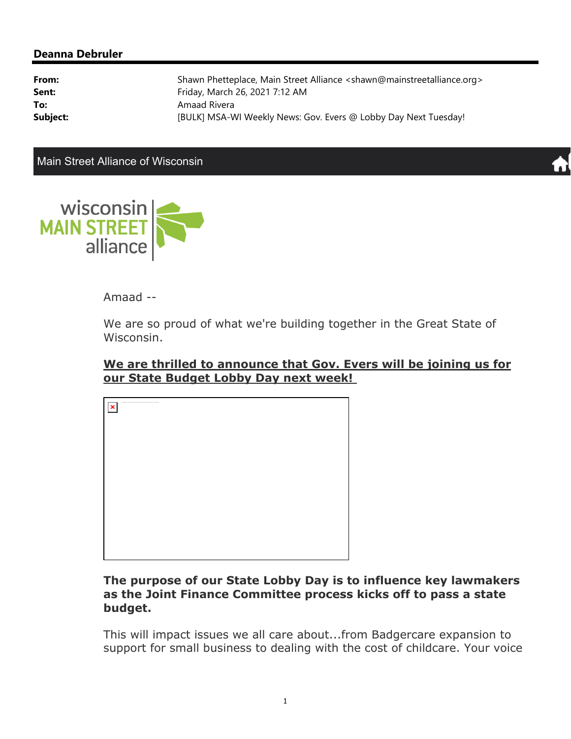#### **Deanna Debruler**

| From:    | Shawn Phetteplace, Main Street Alliance <shawn@mainstreetalliance.org></shawn@mainstreetalliance.org> |
|----------|-------------------------------------------------------------------------------------------------------|
| Sent:    | Friday, March 26, 2021 7:12 AM                                                                        |
| To:      | Amaad Rivera                                                                                          |
| Subject: | [BULK] MSA-WI Weekly News: Gov. Evers @ Lobby Day Next Tuesday!                                       |

Main Street Alliance of Wisconsin





## Amaad --

We are so proud of what we're building together in the Great State of Wisconsin.



# **We are thrilled to announce that Gov. Evers will be joining us for our State Budget Lobby Day next week!**

### **The purpose of our State Lobby Day is to influence key lawmakers as the Joint Finance Committee process kicks off to pass a state budget.**

This will impact issues we all care about...from Badgercare expansion to support for small business to dealing with the cost of childcare. Your voice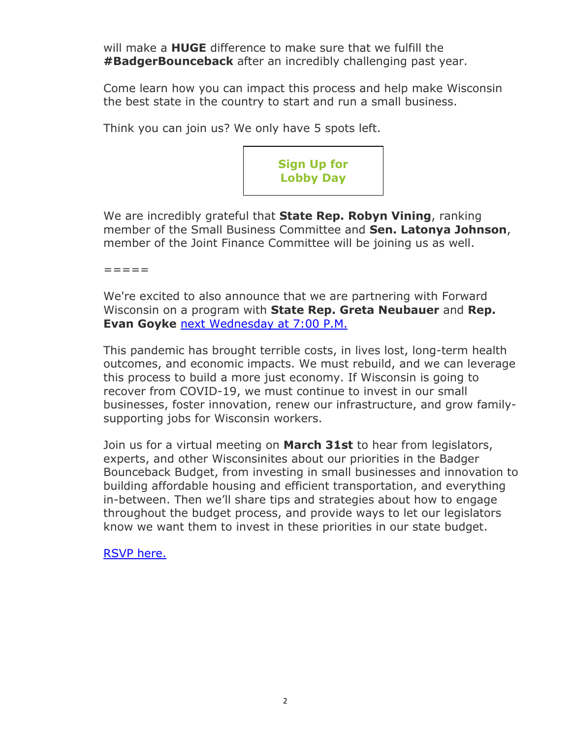will make a **HUGE** difference to make sure that we fulfill the **#BadgerBounceback** after an incredibly challenging past year.

Come learn how you can impact this process and help make Wisconsin the best state in the country to start and run a small business.

Think you can join us? We only have 5 spots left.



We are incredibly grateful that **State Rep. Robyn Vining**, ranking member of the Small Business Committee and **Sen. Latonya Johnson**, member of the Joint Finance Committee will be joining us as well.

=====

We're excited to also announce that we are partnering with Forward Wisconsin on a program with **State Rep. Greta Neubauer** and **Rep. Evan Goyke** next Wednesday at 7:00 P.M.

This pandemic has brought terrible costs, in lives lost, long-term health outcomes, and economic impacts. We must rebuild, and we can leverage this process to build a more just economy. If Wisconsin is going to recover from COVID-19, we must continue to invest in our small businesses, foster innovation, renew our infrastructure, and grow familysupporting jobs for Wisconsin workers.

Join us for a virtual meeting on **March 31st** to hear from legislators, experts, and other Wisconsinites about our priorities in the Badger Bounceback Budget, from investing in small businesses and innovation to building affordable housing and efficient transportation, and everything in-between. Then we'll share tips and strategies about how to engage throughout the budget process, and provide ways to let our legislators know we want them to invest in these priorities in our state budget.

RSVP here.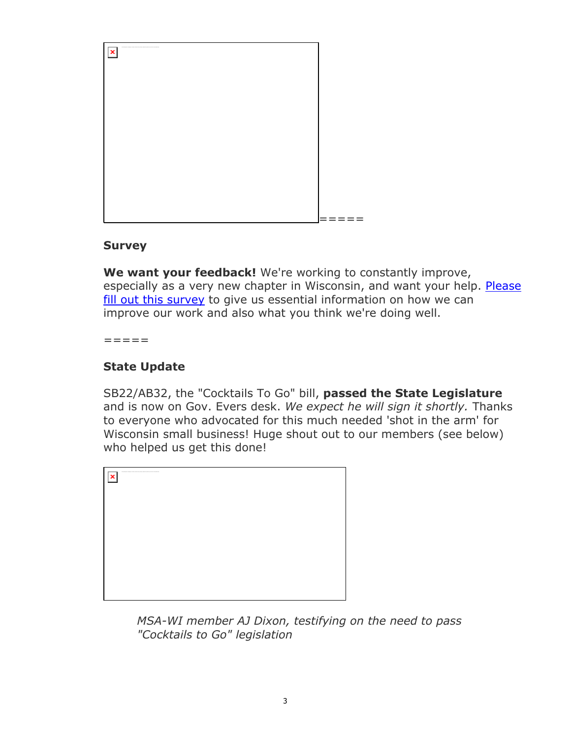

#### **Survey**

**We want your feedback!** We're working to constantly improve, especially as a very new chapter in Wisconsin, and want your help. Please fill out this survey to give us essential information on how we can improve our work and also what you think we're doing well.

=====

# **State Update**

SB22/AB32, the "Cocktails To Go" bill, **passed the State Legislature** and is now on Gov. Evers desk. *We expect he will sign it shortly.* Thanks to everyone who advocated for this much needed 'shot in the arm' for Wisconsin small business! Huge shout out to our members (see below) who helped us get this done!



*MSA-WI member AJ Dixon, testifying on the need to pass "Cocktails to Go" legislation*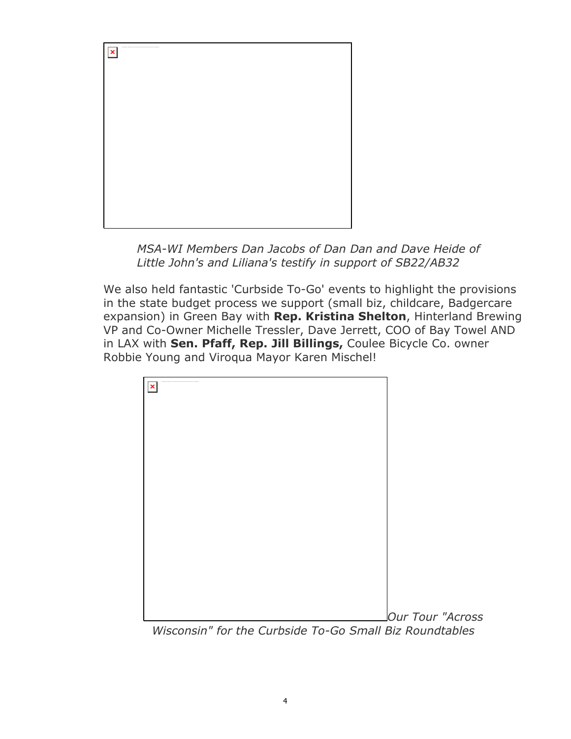

*MSA-WI Members Dan Jacobs of Dan Dan and Dave Heide of Little John's and Liliana's testify in support of SB22/AB32* 

We also held fantastic 'Curbside To-Go' events to highlight the provisions in the state budget process we support (small biz, childcare, Badgercare expansion) in Green Bay with **Rep. Kristina Shelton**, Hinterland Brewing VP and Co-Owner Michelle Tressler, Dave Jerrett, COO of Bay Towel AND in LAX with **Sen. Pfaff, Rep. Jill Billings,** Coulee Bicycle Co. owner Robbie Young and Viroqua Mayor Karen Mischel!



*Wisconsin" for the Curbside To-Go Small Biz Roundtables*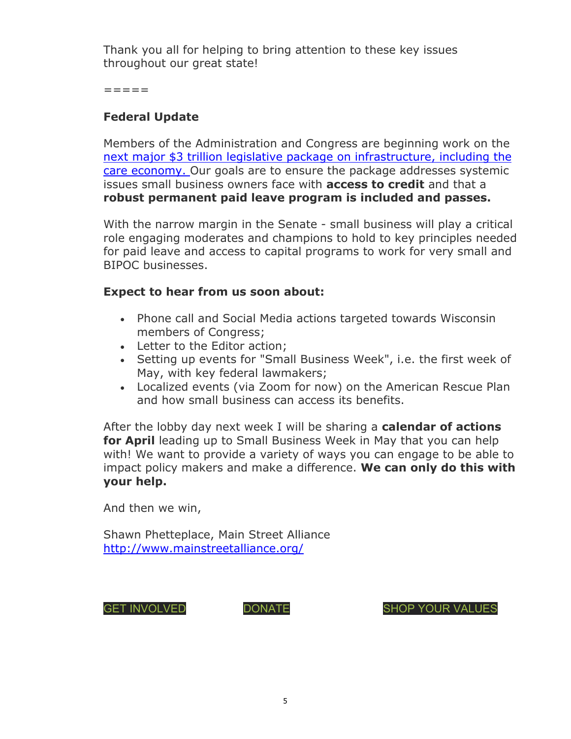Thank you all for helping to bring attention to these key issues throughout our great state!

=====

# **Federal Update**

Members of the Administration and Congress are beginning work on the next major \$3 trillion legislative package on infrastructure, including the care economy. Our goals are to ensure the package addresses systemic issues small business owners face with **access to credit** and that a **robust permanent paid leave program is included and passes.**

With the narrow margin in the Senate - small business will play a critical role engaging moderates and champions to hold to key principles needed for paid leave and access to capital programs to work for very small and BIPOC businesses.

## **Expect to hear from us soon about:**

- Phone call and Social Media actions targeted towards Wisconsin members of Congress;
- Letter to the Editor action;
- Setting up events for "Small Business Week", i.e. the first week of May, with key federal lawmakers;
- Localized events (via Zoom for now) on the American Rescue Plan and how small business can access its benefits.

After the lobby day next week I will be sharing a **calendar of actions for April** leading up to Small Business Week in May that you can help with! We want to provide a variety of ways you can engage to be able to impact policy makers and make a difference. **We can only do this with your help.** 

And then we win,

Shawn Phetteplace, Main Street Alliance http://www.mainstreetalliance.org/

GET INVOLVED **DONATE** SHOP YOUR VALUES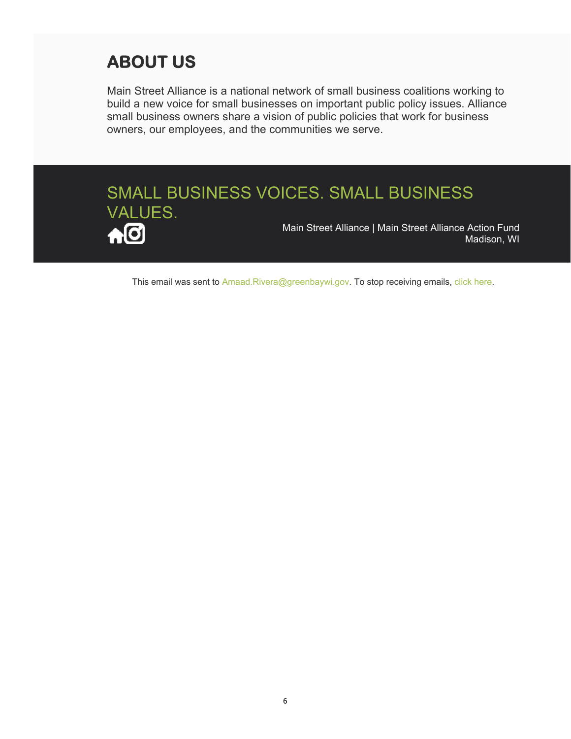# **ABOUT US**

Main Street Alliance is a national network of small business coalitions working to build a new voice for small businesses on important public policy issues. Alliance small business owners share a vision of public policies that work for business owners, our employees, and the communities we serve.



This email was sent to Amaad.Rivera@greenbaywi.gov. To stop receiving emails, click here.